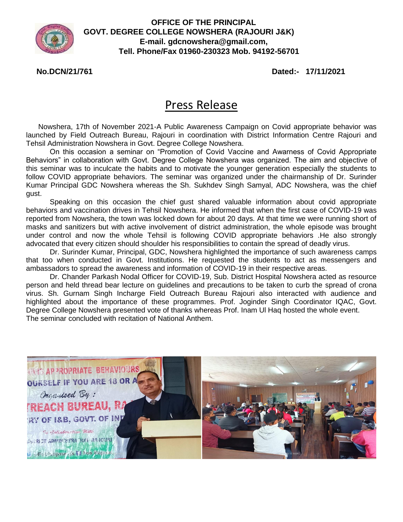

**OFFICE OF THE PRINCIPAL GOVT. DEGREE COLLEGE NOWSHERA (RAJOURI J&K) E-mail. [gdcnowshera@gmail.com,](mailto:gdcnowshera@gmail.com) Tell. Phone/Fax 01960-230323 Mob. 94192-56701**

**No.DCN/21/761 Dated:- 17/11/2021**

## Press Release

 Nowshera, 17th of November 2021-A Public Awareness Campaign on Covid appropriate behavior was launched by Field Outreach Bureau, Rajouri in coordination with District Information Centre Rajouri and Tehsil Administration Nowshera in Govt. Degree College Nowshera.

On this occasion a seminar on "Promotion of Covid Vaccine and Awarness of Covid Appropriate Behaviors" in collaboration with Govt. Degree College Nowshera was organized. The aim and objective of this seminar was to inculcate the habits and to motivate the younger generation especially the students to follow COVID appropriate behaviors. The seminar was organized under the chairmanship of Dr. Surinder Kumar Principal GDC Nowshera whereas the Sh. Sukhdev Singh Samyal, ADC Nowshera, was the chief gust.

Speaking on this occasion the chief gust shared valuable information about covid appropriate behaviors and vaccination drives in Tehsil Nowshera. He informed that when the first case of COVID-19 was reported from Nowshera, the town was locked down for about 20 days. At that time we were running short of masks and sanitizers but with active involvement of district administration, the whole episode was brought under control and now the whole Tehsil is following COVID appropriate behaviors .He also strongly advocated that every citizen should shoulder his responsibilities to contain the spread of deadly virus.

Dr. Surinder Kumar, Principal, GDC, Nowshera highlighted the importance of such awareness camps that too when conducted in Govt. Institutions. He requested the students to act as messengers and ambassadors to spread the awareness and information of COVID-19 in their respective areas.

Dr. Chander Parkash Nodal Officer for COVID-19, Sub. District Hospital Nowshera acted as resource person and held thread bear lecture on guidelines and precautions to be taken to curb the spread of crona virus. Sh. Gurnam Singh Incharge Field Outreach Bureau Rajouri also interacted with audience and highlighted about the importance of these programmes. Prof. Joginder Singh Coordinator IQAC, Govt. Degree College Nowshera presented vote of thanks whereas Prof. Inam Ul Haq hosted the whole event. The seminar concluded with recitation of National Anthem.